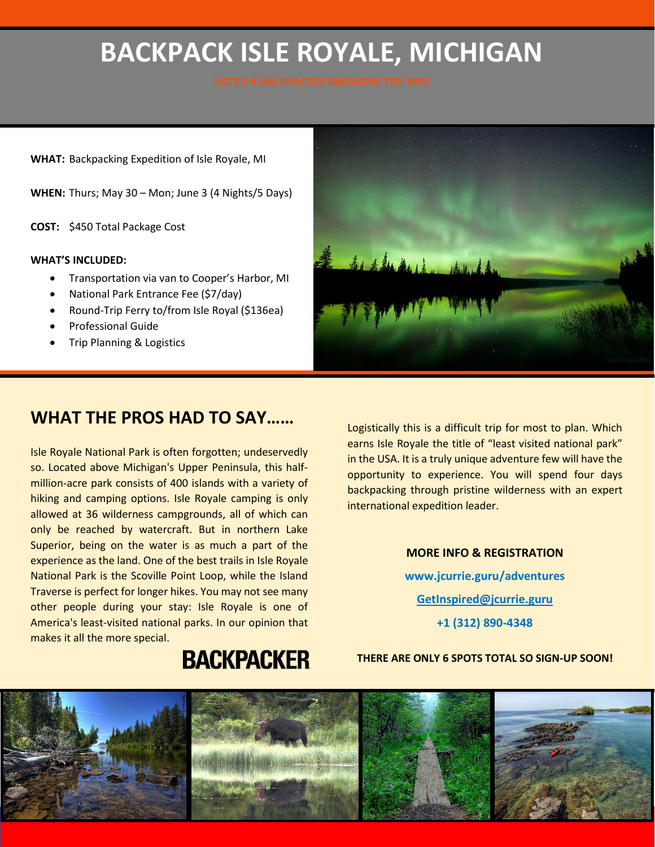# **BACKPACK ISLE ROYALE, MICHIGAN**

**WHAT:** Backpacking Expedition of Isle Royale, MI

**WHEN:** Thurs; May 30 – Mon; June 3 (4 Nights/5 Days)

**COST:** \$450 Total Package Cost

#### **WHAT'S INCLUDED:**

- Transportation via van to Cooper's Harbor, MI
- National Park Entrance Fee (\$7/day)
- Round-Trip Ferry to/from Isle Royal (\$136ea)
- Professional Guide
- Trip Planning & Logistics

### **WHAT THE PROS HAD TO SAY……**

Isle Royale National Park is often forgotten; undeservedly so. Located above Michigan's Upper Peninsula, this halfmillion-acre park consists of 400 islands with a variety of hiking and camping options. Isle Royale camping is only allowed at 36 wilderness campgrounds, all of which can only be reached by watercraft. But in northern Lake Superior, being on the water is as much a part of the experience as the land. One of the best trails in Isle Royale National Park is the Scoville Point Loop, while the Island Traverse is perfect for longer hikes. You may not see many other people during your stay: Isle Royale is one of America's least-visited national parks. In our opinion that makes it all the more special.

Logistically this is a difficult trip for most to plan. Which earns Isle Royale the title of "least visited national park" in the USA. It is a truly unique adventure few will have the opportunity to experience. You will spend four days backpacking through pristine wilderness with an expert international expedition leader.

Let & March 11 del.

**MORE INFO & REGISTRATION www.jcurrie.guru/adventures GetInspired@jcurrie.guru +1 (312) 890-4348**

**BACKPACKER** 

#### **THERE ARE ONLY 6 SPOTS TOTAL SO SIGN-UP SOON!**